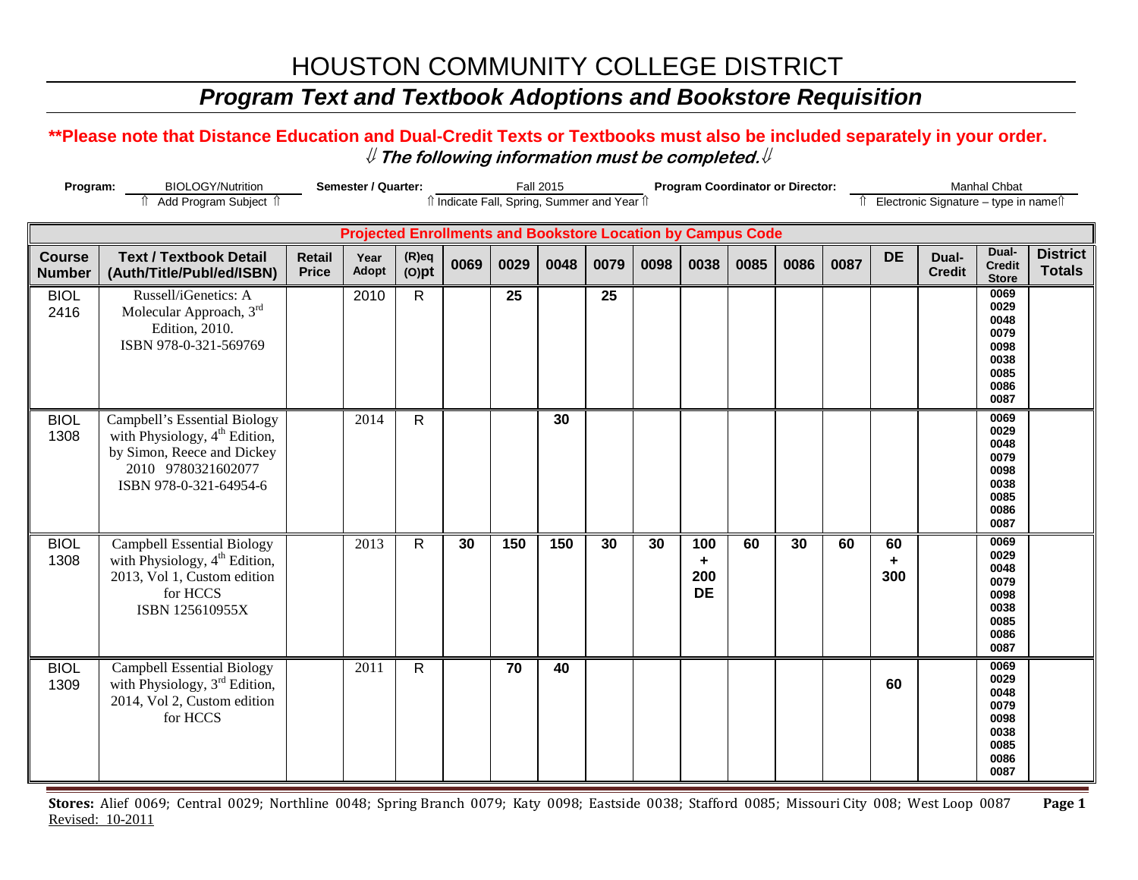### *Program Text and Textbook Adoptions and Bookstore Requisition*

#### **\*\*Please note that Distance Education and Dual-Credit Texts or Textbooks must also be included separately in your order.**  ⇓ **The following information must be completed.**⇓

| Program:                       | <b>BIOLOGY/Nutrition</b>                                                                                                                                | Semester / Quarter:           |                                                                    |                      | <b>Fall 2015</b> |      |      |                                              | <b>Program Coordinator or Director:</b> |                              |      |      |      | Manhal Chbat   |                                          |                                                                      |                                  |
|--------------------------------|---------------------------------------------------------------------------------------------------------------------------------------------------------|-------------------------------|--------------------------------------------------------------------|----------------------|------------------|------|------|----------------------------------------------|-----------------------------------------|------------------------------|------|------|------|----------------|------------------------------------------|----------------------------------------------------------------------|----------------------------------|
|                                | fî Add Program Subject îl                                                                                                                               |                               |                                                                    |                      |                  |      |      | îl Indicate Fall, Spring, Summer and Year îl |                                         |                              |      |      |      |                | Îl Electronic Signature - type in nameîl |                                                                      |                                  |
|                                |                                                                                                                                                         |                               | <b>Projected Enrollments and Bookstore Location by Campus Code</b> |                      |                  |      |      |                                              |                                         |                              |      |      |      |                |                                          |                                                                      |                                  |
| <b>Course</b><br><b>Number</b> | <b>Text / Textbook Detail</b><br>(Auth/Title/Publ/ed/ISBN)                                                                                              | <b>Retail</b><br><b>Price</b> | Year<br>Adopt                                                      | $(R)$ eq<br>$(O)$ pt | 0069             | 0029 | 0048 | 0079                                         | 0098                                    | 0038                         | 0085 | 0086 | 0087 | <b>DE</b>      | Dual-<br><b>Credit</b>                   | Dual-<br><b>Credit</b><br><b>Store</b>                               | <b>District</b><br><b>Totals</b> |
| <b>BIOL</b><br>2416            | Russell/iGenetics: A<br>Molecular Approach, 3rd<br>Edition, 2010.<br>ISBN 978-0-321-569769                                                              |                               | 2010                                                               | $\mathsf{R}$         |                  | 25   |      | 25                                           |                                         |                              |      |      |      |                |                                          | 0069<br>0029<br>0048<br>0079<br>0098<br>0038<br>0085<br>0086<br>0087 |                                  |
| <b>BIOL</b><br>1308            | Campbell's Essential Biology<br>with Physiology, 4 <sup>th</sup> Edition,<br>by Simon, Reece and Dickey<br>2010 9780321602077<br>ISBN 978-0-321-64954-6 |                               | 2014                                                               | $\mathsf{R}$         |                  |      | 30   |                                              |                                         |                              |      |      |      |                |                                          | 0069<br>0029<br>0048<br>0079<br>0098<br>0038<br>0085<br>0086<br>0087 |                                  |
| <b>BIOL</b><br>1308            | <b>Campbell Essential Biology</b><br>with Physiology, 4 <sup>th</sup> Edition,<br>2013, Vol 1, Custom edition<br>for HCCS<br>ISBN 125610955X            |                               | 2013                                                               | $\mathsf{R}$         | 30               | 150  | 150  | 30                                           | 30                                      | 100<br>٠<br>200<br><b>DE</b> | 60   | 30   | 60   | 60<br>٠<br>300 |                                          | 0069<br>0029<br>0048<br>0079<br>0098<br>0038<br>0085<br>0086<br>0087 |                                  |
| <b>BIOL</b><br>1309            | Campbell Essential Biology<br>with Physiology, 3 <sup>rd</sup> Edition,<br>2014, Vol 2, Custom edition<br>for HCCS                                      |                               | 2011                                                               | $\mathsf{R}$         |                  | 70   | 40   |                                              |                                         |                              |      |      |      | 60             |                                          | 0069<br>0029<br>0048<br>0079<br>0098<br>0038<br>0085<br>0086<br>0087 |                                  |

**Stores:** Alief 0069; Central 0029; Northline 0048; Spring Branch 0079; Katy 0098; Eastside 0038; Stafford 0085; Missouri City 008; West Loop 0087 **Page 1** Revised: 10-2011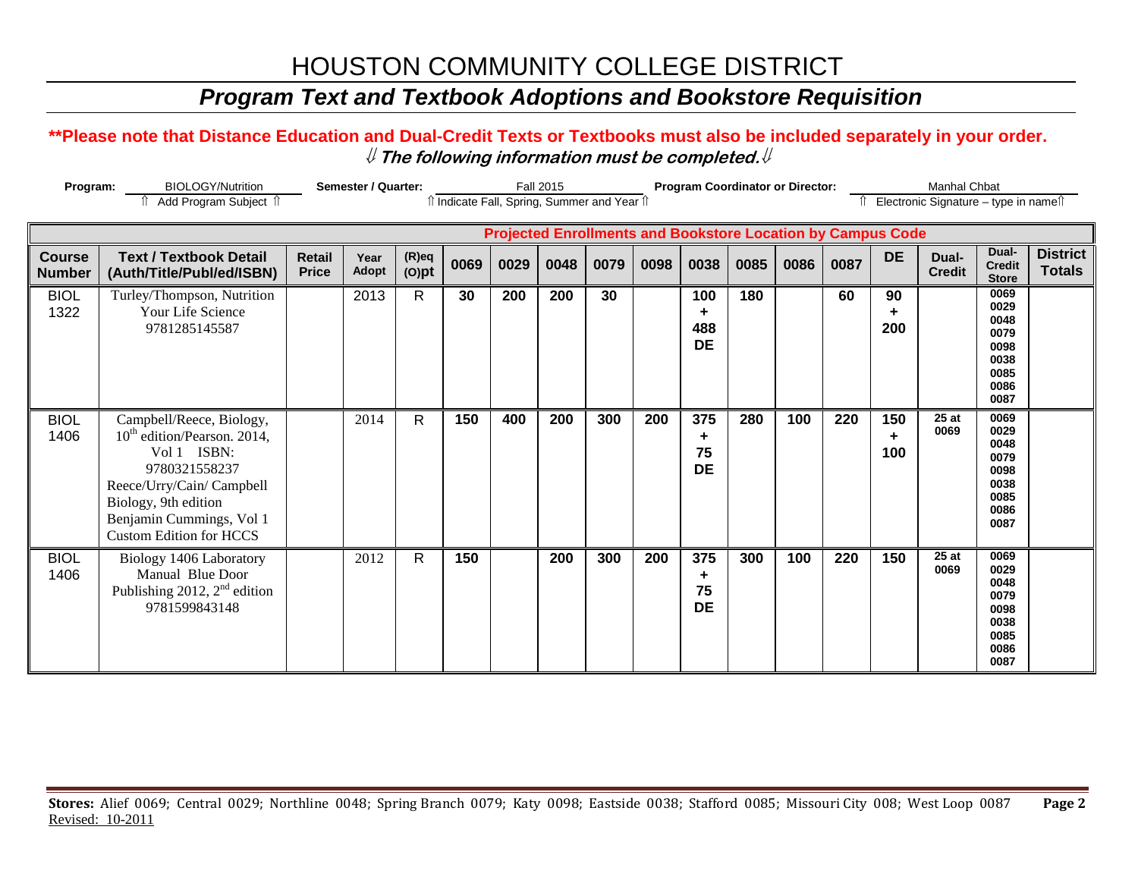### *Program Text and Textbook Adoptions and Bookstore Requisition*

#### **\*\*Please note that Distance Education and Dual-Credit Texts or Textbooks must also be included separately in your order.**  ⇓ **The following information must be completed.**⇓

| Program:                       | <b>BIOLOGY/Nutrition</b><br>Add Program Subject 1                                                                                                                                                                      |                               | Semester / Quarter:  |                      |      |      | <b>Fall 2015</b> | îl Indicate Fall, Spring, Summer and Year îl                       |      |                              | <b>Program Coordinator or Director:</b> |      |      |                 | Manhal Chbat<br>Electronic Signature - type in namest |                                                                      |                                  |
|--------------------------------|------------------------------------------------------------------------------------------------------------------------------------------------------------------------------------------------------------------------|-------------------------------|----------------------|----------------------|------|------|------------------|--------------------------------------------------------------------|------|------------------------------|-----------------------------------------|------|------|-----------------|-------------------------------------------------------|----------------------------------------------------------------------|----------------------------------|
|                                |                                                                                                                                                                                                                        |                               |                      |                      |      |      |                  | <b>Projected Enrollments and Bookstore Location by Campus Code</b> |      |                              |                                         |      |      |                 |                                                       |                                                                      |                                  |
| <b>Course</b><br><b>Number</b> | <b>Text / Textbook Detail</b><br>(Auth/Title/Publ/ed/ISBN)                                                                                                                                                             | <b>Retail</b><br><b>Price</b> | Year<br><b>Adopt</b> | $(R)$ eq<br>$(O)$ pt | 0069 | 0029 | 0048             | 0079                                                               | 0098 | 0038                         | 0085                                    | 0086 | 0087 | <b>DE</b>       | Dual-<br><b>Credit</b>                                | Dual-<br><b>Credit</b><br><b>Store</b>                               | <b>District</b><br><b>Totals</b> |
| <b>BIOL</b><br>1322            | Turley/Thompson, Nutrition<br>Your Life Science<br>9781285145587                                                                                                                                                       |                               | 2013                 | $\mathsf{R}$         | 30   | 200  | 200              | 30                                                                 |      | 100<br>٠<br>488<br><b>DE</b> | 180                                     |      | 60   | 90<br>200       |                                                       | 0069<br>0029<br>0048<br>0079<br>0098<br>0038<br>0085<br>0086<br>0087 |                                  |
| <b>BIOL</b><br>1406            | Campbell/Reece, Biology,<br>10 <sup>th</sup> edition/Pearson. 2014,<br>Vol 1 ISBN:<br>9780321558237<br>Reece/Urry/Cain/ Campbell<br>Biology, 9th edition<br>Benjamin Cummings, Vol 1<br><b>Custom Edition for HCCS</b> |                               | 2014                 | $\mathsf{R}$         | 150  | 400  | 200              | 300                                                                | 200  | 375<br>٠<br>75<br><b>DE</b>  | 280                                     | 100  | 220  | 150<br>÷<br>100 | 25 at<br>0069                                         | 0069<br>0029<br>0048<br>0079<br>0098<br>0038<br>0085<br>0086<br>0087 |                                  |
| <b>BIOL</b><br>1406            | Biology 1406 Laboratory<br>Manual Blue Door<br>Publishing 2012, $2nd$ edition<br>9781599843148                                                                                                                         |                               | 2012                 | $\mathsf{R}$         | 150  |      | 200              | 300                                                                | 200  | 375<br>٠<br>75<br><b>DE</b>  | 300                                     | 100  | 220  | 150             | 25 at<br>0069                                         | 0069<br>0029<br>0048<br>0079<br>0098<br>0038<br>0085<br>0086<br>0087 |                                  |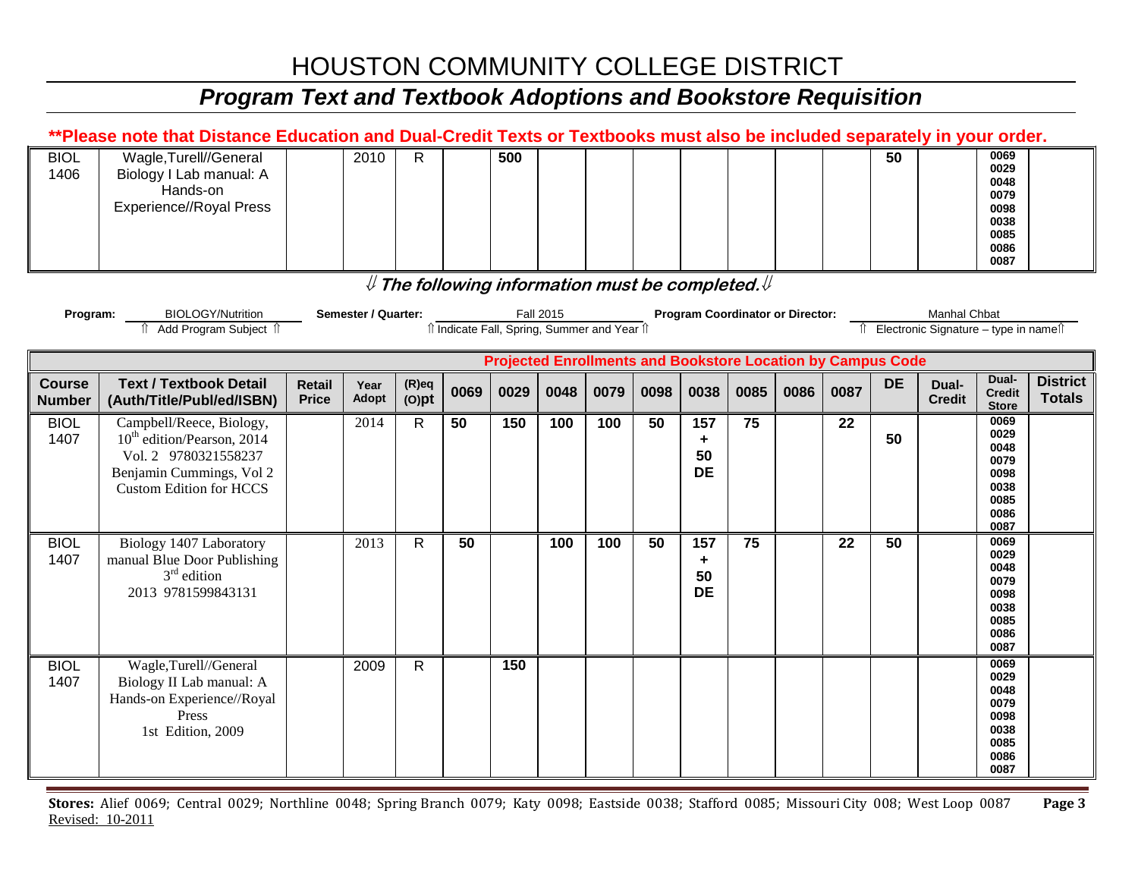# *Program Text and Textbook Adoptions and Bookstore Requisition*

|                                | **Please note that Distance Education and Dual-Credit Texts or Textbooks must also be included separately in your order.                                 |                        |                     |                      |      |      |                                              |      |      |                                                |                                                        |      |      |                                                                    |                                          |                                                                      |                                  |
|--------------------------------|----------------------------------------------------------------------------------------------------------------------------------------------------------|------------------------|---------------------|----------------------|------|------|----------------------------------------------|------|------|------------------------------------------------|--------------------------------------------------------|------|------|--------------------------------------------------------------------|------------------------------------------|----------------------------------------------------------------------|----------------------------------|
| <b>BIOL</b><br>1406            | Wagle, Turell//General<br>Biology I Lab manual: A<br>Hands-on<br><b>Experience//Royal Press</b>                                                          |                        | 2010                | $\mathsf{R}$         |      | 500  |                                              |      |      |                                                |                                                        |      |      | 50                                                                 |                                          | 0069<br>0029<br>0048<br>0079<br>0098<br>0038<br>0085<br>0086<br>0087 |                                  |
|                                |                                                                                                                                                          |                        |                     |                      |      |      |                                              |      |      |                                                | $\#$ The following information must be completed. $\#$ |      |      |                                                                    |                                          |                                                                      |                                  |
| Program:                       | <b>BIOLOGY/Nutrition</b>                                                                                                                                 |                        | Semester / Quarter: |                      |      |      | <b>Fall 2015</b>                             |      |      |                                                | <b>Program Coordinator or Director:</b>                |      |      |                                                                    | Manhal Chbat                             |                                                                      |                                  |
|                                | ↑ Add Program Subject ↑                                                                                                                                  |                        |                     |                      |      |      | îl Indicate Fall, Spring, Summer and Year îl |      |      |                                                |                                                        |      |      |                                                                    | Îl Electronic Signature - type in nameîl |                                                                      |                                  |
|                                |                                                                                                                                                          |                        |                     |                      |      |      |                                              |      |      |                                                |                                                        |      |      | <b>Projected Enrollments and Bookstore Location by Campus Code</b> |                                          |                                                                      |                                  |
| <b>Course</b><br><b>Number</b> | <b>Text / Textbook Detail</b><br>(Auth/Title/Publ/ed/ISBN)                                                                                               | Retail<br><b>Price</b> | Year<br>Adopt       | $(R)$ eq<br>$(O)$ pt | 0069 | 0029 | 0048                                         | 0079 | 0098 | 0038                                           | 0085                                                   | 0086 | 0087 | <b>DE</b>                                                          | Dual-<br><b>Credit</b>                   | Dual-<br><b>Credit</b><br><b>Store</b>                               | <b>District</b><br><b>Totals</b> |
| <b>BIOL</b><br>1407            | Campbell/Reece, Biology,<br>10 <sup>th</sup> edition/Pearson, 2014<br>Vol. 2 9780321558237<br>Benjamin Cummings, Vol 2<br><b>Custom Edition for HCCS</b> |                        | 2014                | $\mathsf{R}$         | 50   | 150  | 100                                          | 100  | 50   | 157<br>$\ddot{\phantom{1}}$<br>50<br><b>DE</b> | 75                                                     |      | 22   | 50                                                                 |                                          | 0069<br>0029<br>0048<br>0079<br>0098<br>0038<br>0085<br>0086<br>0087 |                                  |
| <b>BIOL</b><br>1407            | Biology 1407 Laboratory<br>manual Blue Door Publishing<br>$3rd$ edition<br>2013 9781599843131                                                            |                        | 2013                | R                    | 50   |      | 100                                          | 100  | 50   | 157<br>٠<br>50<br><b>DE</b>                    | 75                                                     |      | 22   | 50                                                                 |                                          | 0069<br>0029<br>0048<br>0079<br>0098<br>0038<br>0085<br>0086<br>0087 |                                  |
| <b>BIOL</b><br>1407            | Wagle,Turell//General<br>Biology II Lab manual: A<br>Hands-on Experience//Royal<br>Press<br>1st Edition, 2009                                            |                        | 2009                | R                    |      | 150  |                                              |      |      |                                                |                                                        |      |      |                                                                    |                                          | 0069<br>0029<br>0048<br>0079<br>0098<br>0038<br>0085<br>0086<br>0087 |                                  |

**Stores:** Alief 0069; Central 0029; Northline 0048; Spring Branch 0079; Katy 0098; Eastside 0038; Stafford 0085; Missouri City 008; West Loop 0087 **Page 3** Revised: 10-2011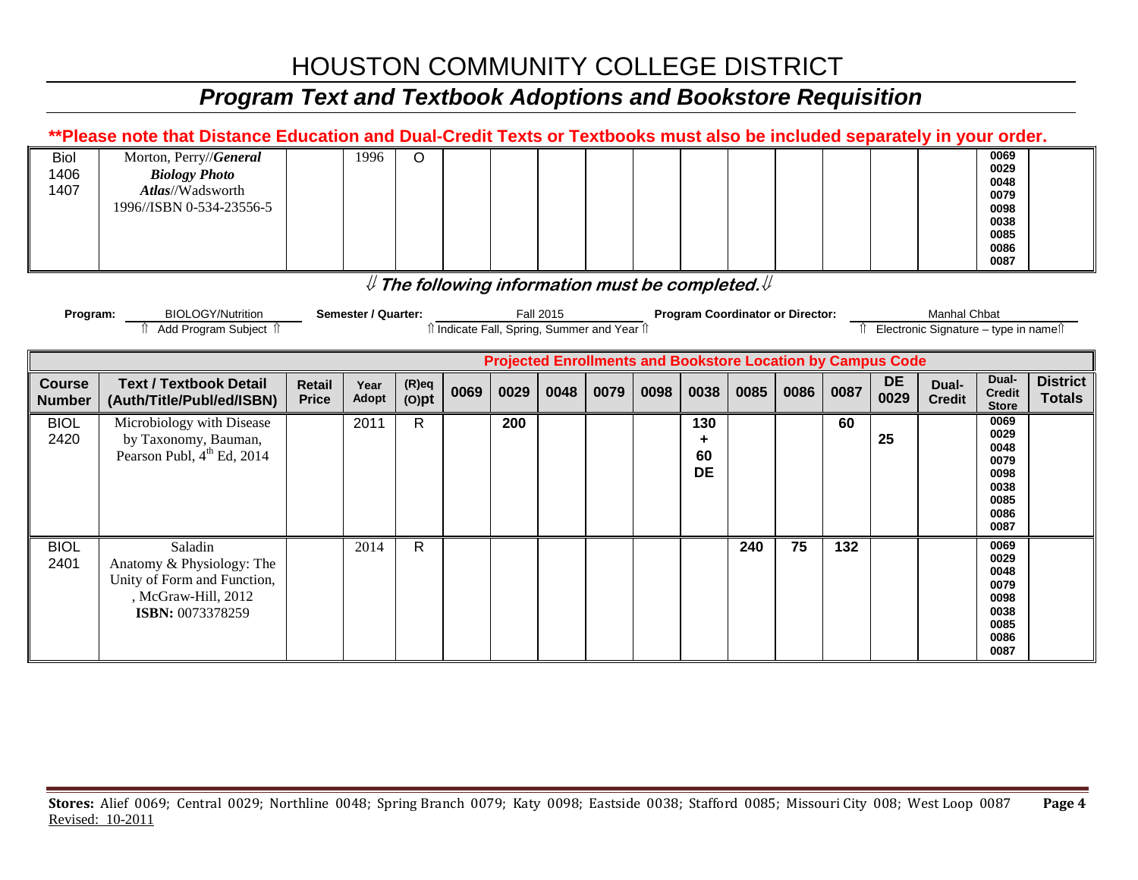# *Program Text and Textbook Adoptions and Bookstore Requisition*

|                                | **Please note that Distance Education and Dual-Credit Texts or Textbooks must also be included separately in your order. |                        |                     |                      |                                                                          |      |                  |      |      |                                         |      |      |      |                                                                    |                                                      |                                                                      |                                  |
|--------------------------------|--------------------------------------------------------------------------------------------------------------------------|------------------------|---------------------|----------------------|--------------------------------------------------------------------------|------|------------------|------|------|-----------------------------------------|------|------|------|--------------------------------------------------------------------|------------------------------------------------------|----------------------------------------------------------------------|----------------------------------|
| <b>Biol</b><br>1406<br>1407    | Morton, Perry//General<br><b>Biology Photo</b><br>Atlas//Wadsworth<br>1996//ISBN 0-534-23556-5                           |                        | 1996                | $\circ$              |                                                                          |      |                  |      |      |                                         |      |      |      |                                                                    |                                                      | 0069<br>0029<br>0048<br>0079<br>0098<br>0038<br>0085<br>0086<br>0087 |                                  |
|                                |                                                                                                                          |                        |                     |                      | ${\mathbb U}$ The following information must be completed. ${\mathbb U}$ |      |                  |      |      |                                         |      |      |      |                                                                    |                                                      |                                                                      |                                  |
| Program:                       | <b>BIOLOGY/Nutrition</b><br>Add Program Subject 1                                                                        |                        | Semester / Quarter: |                      | îl Indicate Fall, Spring, Summer and Year îl                             |      | <b>Fall 2015</b> |      |      | <b>Program Coordinator or Director:</b> |      |      | ⇑    |                                                                    | Manhal Chbat<br>Electronic Signature - type in names |                                                                      |                                  |
|                                |                                                                                                                          |                        |                     |                      |                                                                          |      |                  |      |      |                                         |      |      |      | <b>Projected Enrollments and Bookstore Location by Campus Code</b> |                                                      |                                                                      |                                  |
| <b>Course</b><br><b>Number</b> | <b>Text / Textbook Detail</b><br>(Auth/Title/Publ/ed/ISBN)                                                               | Retail<br><b>Price</b> | Year<br>Adopt       | $(R)$ eq<br>$(O)$ pt | 0069                                                                     | 0029 | 0048             | 0079 | 0098 | 0038                                    | 0085 | 0086 | 0087 | <b>DE</b><br>0029                                                  | Dual-<br><b>Credit</b>                               | Dual-<br><b>Credit</b><br><b>Store</b>                               | <b>District</b><br><b>Totals</b> |
| <b>BIOL</b><br>2420            | Microbiology with Disease<br>by Taxonomy, Bauman,<br>Pearson Publ, 4 <sup>th</sup> Ed, 2014                              |                        | 2011                | R                    |                                                                          | 200  |                  |      |      | 130<br>٠<br>60<br><b>DE</b>             |      |      | 60   | 25                                                                 |                                                      | 0069<br>0029<br>0048<br>0079<br>0098<br>0038<br>0085<br>0086<br>0087 |                                  |
|                                |                                                                                                                          |                        | 2014                | $\mathsf{R}$         |                                                                          |      |                  |      |      |                                         | 240  | 75   | 132  |                                                                    |                                                      | 0069                                                                 |                                  |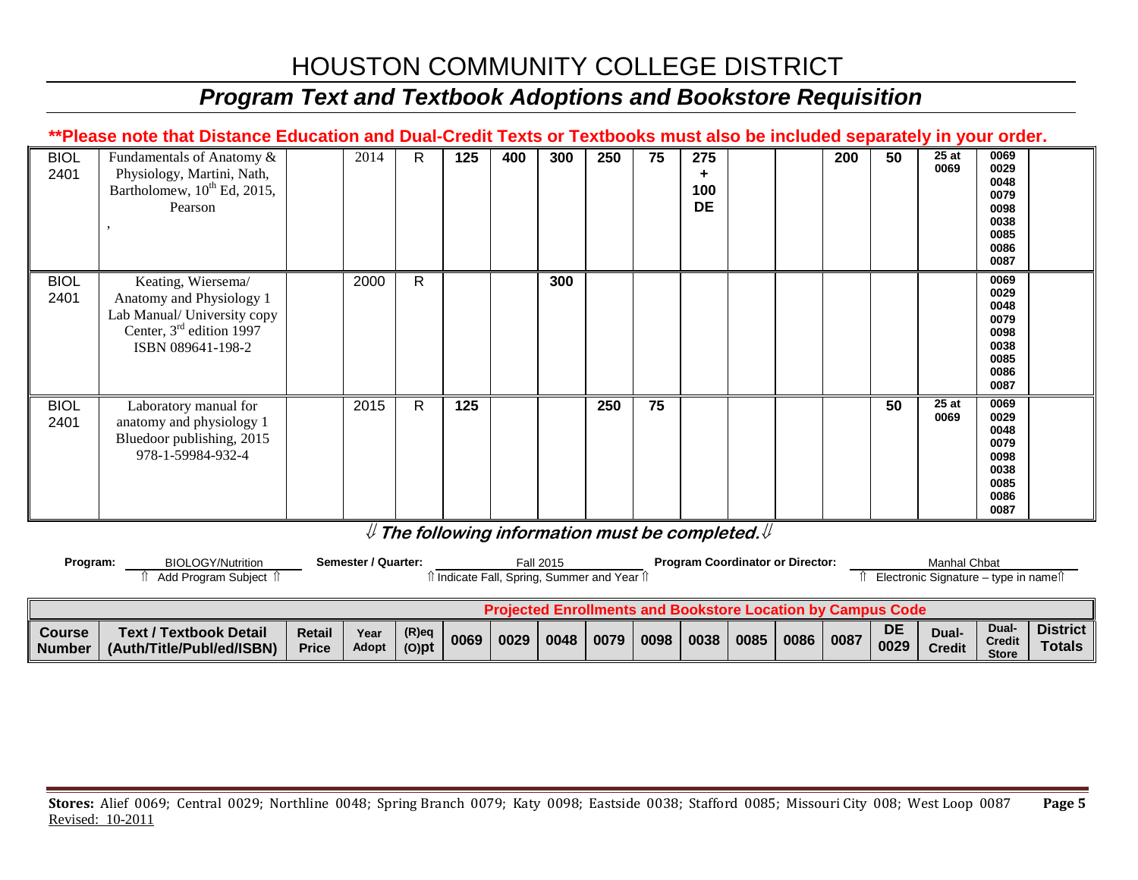### *Program Text and Textbook Adoptions and Bookstore Requisition*

#### **\*\*Please note that Distance Education and Dual-Credit Texts or Textbooks must also be included separately in your order.**

| <b>BIOL</b><br>2401 | Fundamentals of Anatomy &<br>Physiology, Martini, Nath,<br>Bartholomew, 10 <sup>th</sup> Ed, 2015,<br>Pearson                    | 2014 | R            | 125 | 400 | 300 | 250 | 75 | 275<br>100<br><b>DE</b> |  | 200 | 50 | 25at<br>0069 | 0069<br>0029<br>0048<br>0079<br>0098<br>0038<br>0085<br>0086<br>0087 |  |
|---------------------|----------------------------------------------------------------------------------------------------------------------------------|------|--------------|-----|-----|-----|-----|----|-------------------------|--|-----|----|--------------|----------------------------------------------------------------------|--|
| <b>BIOL</b><br>2401 | Keating, Wiersema/<br>Anatomy and Physiology 1<br>Lab Manual/ University copy<br>Center, $3rd$ edition 1997<br>ISBN 089641-198-2 | 2000 | $\mathsf{R}$ |     |     | 300 |     |    |                         |  |     |    |              | 0069<br>0029<br>0048<br>0079<br>0098<br>0038<br>0085<br>0086<br>0087 |  |
| <b>BIOL</b><br>2401 | Laboratory manual for<br>anatomy and physiology 1<br>Bluedoor publishing, 2015<br>978-1-59984-932-4                              | 2015 | $\mathsf{R}$ | 125 |     |     | 250 | 75 |                         |  |     | 50 | 25at<br>0069 | 0069<br>0029<br>0048<br>0079<br>0098<br>0038<br>0085<br>0086<br>0087 |  |

#### ⇓ **The following information must be completed.**⇓

| Program:                | BIOLOGY/Nutrition                                                  |                        | Semester / Quarter: |                      |      | ੀ Indicate Fall, Spring, Summer and Year ੀ | Fall 2015 |      |      |      |      | <b>Program Coordinator or Director:</b> |      |                   | Manhal Chbat<br>Electronic Signature – type in name $\hat{I}$ |                                        |                             |
|-------------------------|--------------------------------------------------------------------|------------------------|---------------------|----------------------|------|--------------------------------------------|-----------|------|------|------|------|-----------------------------------------|------|-------------------|---------------------------------------------------------------|----------------------------------------|-----------------------------|
|                         | <b>Projected Enrollments and Bookstore Location by Campus Code</b> |                        |                     |                      |      |                                            |           |      |      |      |      |                                         |      |                   |                                                               |                                        |                             |
| Course<br><b>Number</b> | <b>Text / Textbook Detail</b><br>(Auth/Title/Publ/ed/ISBN)         | Retail<br><b>Price</b> | Year<br>Adopt       | $(R)$ eq<br>$(O)$ pt | 0069 | 0029                                       | 0048      | 0079 | 0098 | 0038 | 0085 | 0086                                    | 0087 | <b>DE</b><br>0029 | Dual-<br><b>Credit</b>                                        | Dual-<br><b>Credit</b><br><b>Store</b> | District  <br><b>Totals</b> |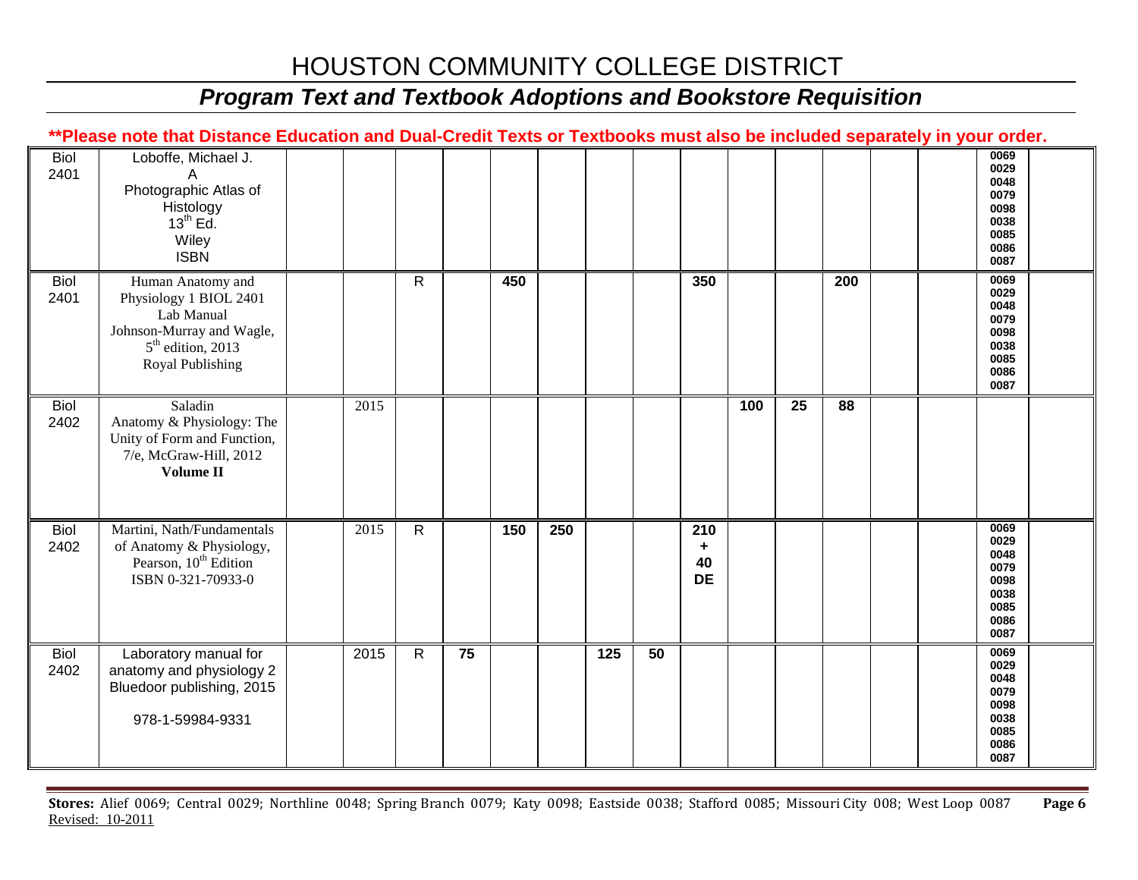### *Program Text and Textbook Adoptions and Bookstore Requisition*

#### **\*\*Please note that Distance Education and Dual-Credit Texts or Textbooks must also be included separately in your order.**

| <b>Biol</b><br>2401 | Loboffe, Michael J.<br>A<br>Photographic Atlas of<br>Histology<br>13 <sup>th</sup> Ed.<br>Wiley<br><b>ISBN</b>                    |                   |              |    |     |     |     |    |                             |     |    |                 |  | 0069<br>0029<br>0048<br>0079<br>0098<br>0038<br>0085<br>0086<br>0087 |  |
|---------------------|-----------------------------------------------------------------------------------------------------------------------------------|-------------------|--------------|----|-----|-----|-----|----|-----------------------------|-----|----|-----------------|--|----------------------------------------------------------------------|--|
| <b>Biol</b><br>2401 | Human Anatomy and<br>Physiology 1 BIOL 2401<br>Lab Manual<br>Johnson-Murray and Wagle,<br>$5th$ edition, 2013<br>Royal Publishing |                   | R.           |    | 450 |     |     |    | 350                         |     |    | 200             |  | 0069<br>0029<br>0048<br>0079<br>0098<br>0038<br>0085<br>0086<br>0087 |  |
| <b>Biol</b><br>2402 | Saladin<br>Anatomy & Physiology: The<br>Unity of Form and Function,<br>7/e, McGraw-Hill, 2012<br>Volume II                        | $201\overline{5}$ |              |    |     |     |     |    |                             | 100 | 25 | $\overline{88}$ |  |                                                                      |  |
| <b>Biol</b><br>2402 | Martini, Nath/Fundamentals<br>of Anatomy & Physiology,<br>Pearson, 10 <sup>th</sup> Edition<br>ISBN 0-321-70933-0                 | 2015              | $\mathsf{R}$ |    | 150 | 250 |     |    | 210<br>٠<br>40<br><b>DE</b> |     |    |                 |  | 0069<br>0029<br>0048<br>0079<br>0098<br>0038<br>0085<br>0086<br>0087 |  |
| <b>Biol</b><br>2402 | Laboratory manual for<br>anatomy and physiology 2<br>Bluedoor publishing, 2015<br>978-1-59984-9331                                | 2015              | $\mathsf{R}$ | 75 |     |     | 125 | 50 |                             |     |    |                 |  | 0069<br>0029<br>0048<br>0079<br>0098<br>0038<br>0085<br>0086<br>0087 |  |

**Stores:** Alief 0069; Central 0029; Northline 0048; Spring Branch 0079; Katy 0098; Eastside 0038; Stafford 0085; Missouri City 008; West Loop 0087 **Page 6** Revised: 10-2011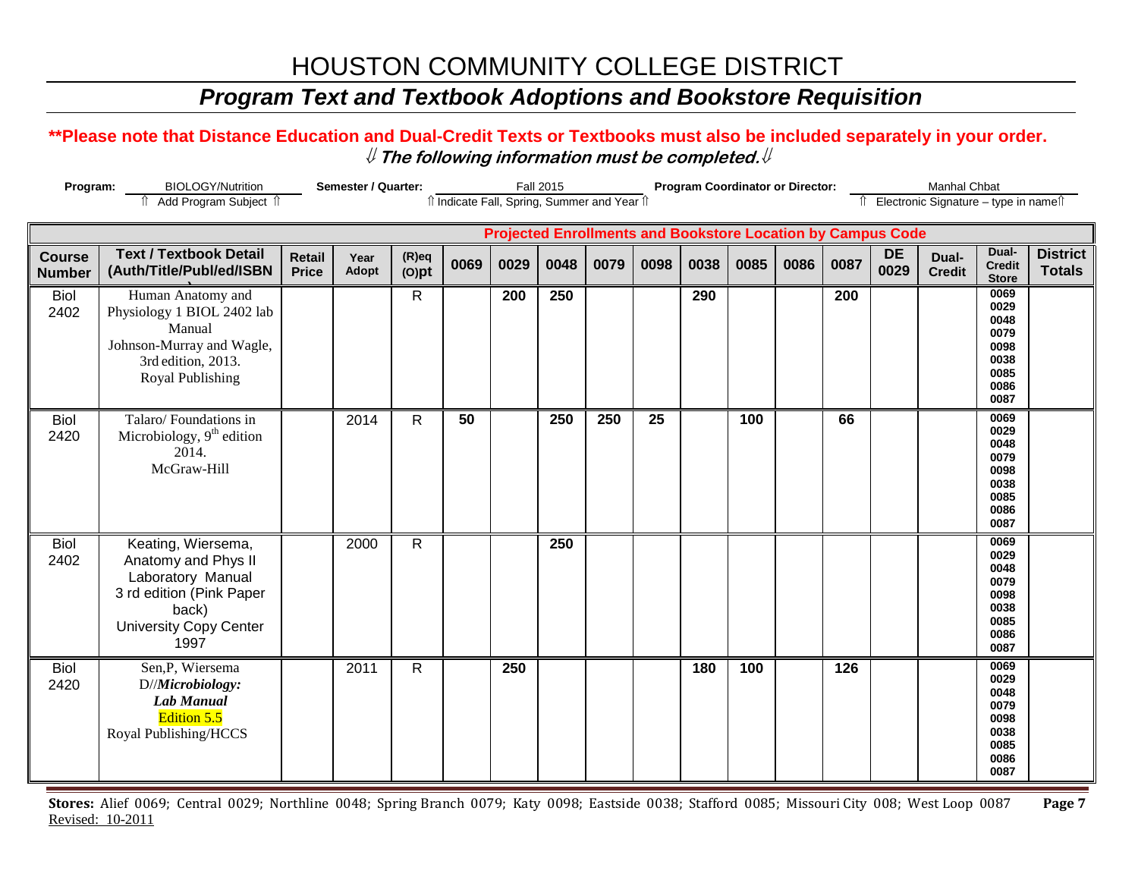### *Program Text and Textbook Adoptions and Bookstore Requisition*

#### **\*\*Please note that Distance Education and Dual-Credit Texts or Textbooks must also be included separately in your order.**  ⇓ **The following information must be completed.**⇓

| Program:                       | <b>BIOLOGY/Nutrition</b><br>î Add Program Subject î                                                                                          | Semester / Quarter:           |               | îl Indicate Fall, Spring, Summer and Year îl |      | <b>Fall 2015</b> |      |      |      | <b>Program Coordinator or Director:</b> |      |      |      | Manhal Chbat<br>Îl Electronic Signature - type in nameîl           |                        |                                                                      |                                  |
|--------------------------------|----------------------------------------------------------------------------------------------------------------------------------------------|-------------------------------|---------------|----------------------------------------------|------|------------------|------|------|------|-----------------------------------------|------|------|------|--------------------------------------------------------------------|------------------------|----------------------------------------------------------------------|----------------------------------|
|                                |                                                                                                                                              |                               |               |                                              |      |                  |      |      |      |                                         |      |      |      | <b>Projected Enrollments and Bookstore Location by Campus Code</b> |                        |                                                                      |                                  |
| <b>Course</b><br><b>Number</b> | <b>Text / Textbook Detail</b><br>(Auth/Title/Publ/ed/ISBN                                                                                    | <b>Retail</b><br><b>Price</b> | Year<br>Adopt | $(R)$ eq<br>$(O)$ pt                         | 0069 | 0029             | 0048 | 0079 | 0098 | 0038                                    | 0085 | 0086 | 0087 | <b>DE</b><br>0029                                                  | Dual-<br><b>Credit</b> | Dual-<br><b>Credit</b><br><b>Store</b>                               | <b>District</b><br><b>Totals</b> |
| <b>Biol</b><br>2402            | Human Anatomy and<br>Physiology 1 BIOL 2402 lab<br>Manual<br>Johnson-Murray and Wagle,<br>3rd edition, 2013.<br>Royal Publishing             |                               |               | R                                            |      | 200              | 250  |      |      | 290                                     |      |      | 200  |                                                                    |                        | 0069<br>0029<br>0048<br>0079<br>0098<br>0038<br>0085<br>0086<br>0087 |                                  |
| <b>Biol</b><br>2420            | Talaro/Foundations in<br>Microbiology, 9 <sup>th</sup> edition<br>2014.<br>McGraw-Hill                                                       |                               | 2014          | $\mathsf{R}$                                 | 50   |                  | 250  | 250  | 25   |                                         | 100  |      | 66   |                                                                    |                        | 0069<br>0029<br>0048<br>0079<br>0098<br>0038<br>0085<br>0086<br>0087 |                                  |
| <b>Biol</b><br>2402            | Keating, Wiersema,<br>Anatomy and Phys II<br>Laboratory Manual<br>3 rd edition (Pink Paper<br>back)<br><b>University Copy Center</b><br>1997 |                               | 2000          | $\mathsf{R}$                                 |      |                  | 250  |      |      |                                         |      |      |      |                                                                    |                        | 0069<br>0029<br>0048<br>0079<br>0098<br>0038<br>0085<br>0086<br>0087 |                                  |
| <b>Biol</b><br>2420            | Sen, P, Wiersema<br>D//Microbiology:<br><b>Lab Manual</b><br>Edition 5.5<br>Royal Publishing/HCCS                                            |                               | 2011          | $\mathsf{R}$                                 |      | 250              |      |      |      | 180                                     | 100  |      | 126  |                                                                    |                        | 0069<br>0029<br>0048<br>0079<br>0098<br>0038<br>0085<br>0086<br>0087 |                                  |

**Stores:** Alief 0069; Central 0029; Northline 0048; Spring Branch 0079; Katy 0098; Eastside 0038; Stafford 0085; Missouri City 008; West Loop 0087 **Page 7** Revised: 10-2011